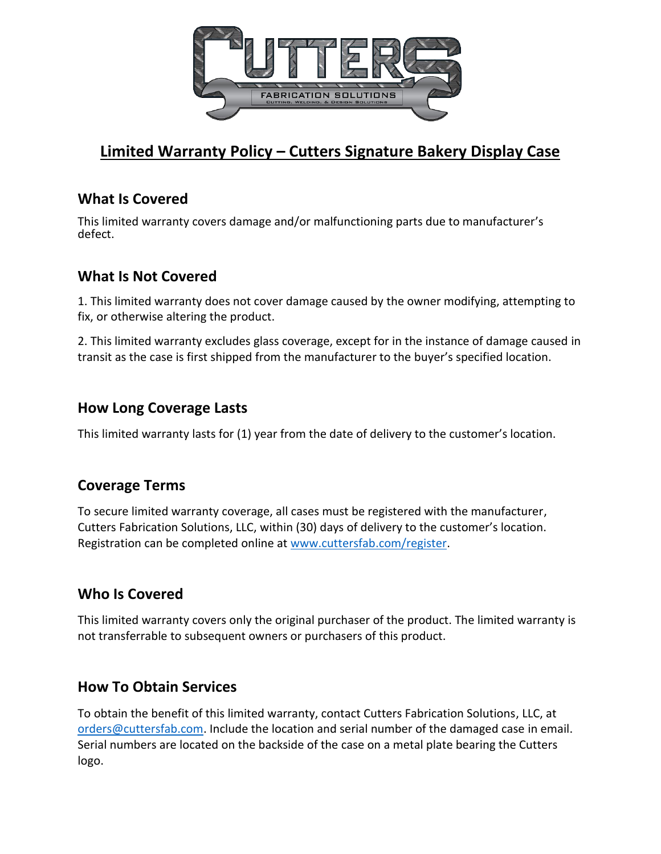

# **Limited Warranty Policy – Cutters Signature Bakery Display Case**

## **What Is Covered**

This limited warranty covers damage and/or malfunctioning parts due to manufacturer's defect.

# **What Is Not Covered**

1. This limited warranty does not cover damage caused by the owner modifying, attempting to fix, or otherwise altering the product.

2. This limited warranty excludes glass coverage, except for in the instance of damage caused in transit as the case is first shipped from the manufacturer to the buyer's specified location.

# **How Long Coverage Lasts**

This limited warranty lasts for (1) year from the date of delivery to the customer's location.

# **Coverage Terms**

To secure limited warranty coverage, all cases must be registered with the manufacturer, Cutters Fabrication Solutions, LLC, within (30) days of delivery to the customer's location. Registration can be completed online at [www.cuttersfab.com/register.](http://www.cuttersfab.com/register)

#### **Who Is Covered**

This limited warranty covers only the original purchaser of the product. The limited warranty is not transferrable to subsequent owners or purchasers of this product.

#### **How To Obtain Services**

To obtain the benefit of this limited warranty, contact Cutters Fabrication Solutions, LLC, at [orders@cuttersfab.com.](mailto:orders@cuttersfab.com) Include the location and serial number of the damaged case in email. Serial numbers are located on the backside of the case on a metal plate bearing the Cutters logo.